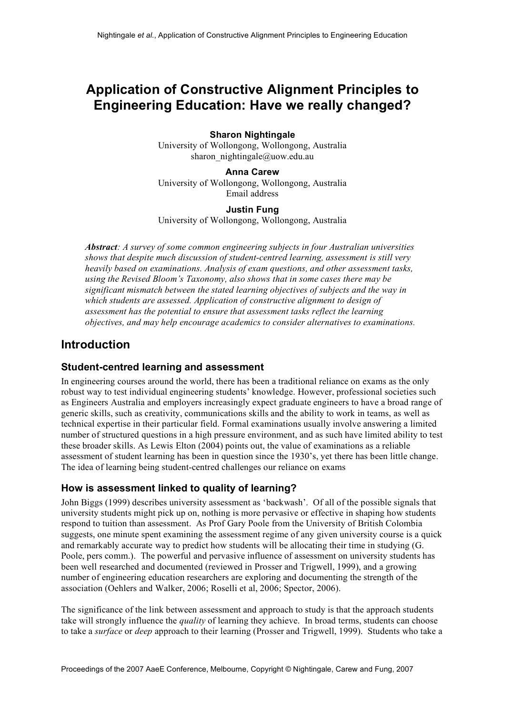# **Application of Constructive Alignment Principles to Engineering Education: Have we really changed?**

#### **Sharon Nightingale**

University of Wollongong, Wollongong, Australia sharon\_nightingale@uow.edu.au

#### **Anna Carew**

University of Wollongong, Wollongong, Australia Email address

#### **Justin Fung**

University of Wollongong, Wollongong, Australia

*Abstract: A survey of some common engineering subjects in four Australian universities shows that despite much discussion of student-centred learning, assessment is still very heavily based on examinations. Analysis of exam questions, and other assessment tasks, using the Revised Bloom's Taxonomy, also shows that in some cases there may be significant mismatch between the stated learning objectives of subjects and the way in which students are assessed. Application of constructive alignment to design of assessment has the potential to ensure that assessment tasks reflect the learning objectives, and may help encourage academics to consider alternatives to examinations.*

# **Introduction**

### **Student-centred learning and assessment**

In engineering courses around the world, there has been a traditional reliance on exams as the only robust way to test individual engineering students' knowledge. However, professional societies such as Engineers Australia and employers increasingly expect graduate engineers to have a broad range of generic skills, such as creativity, communications skills and the ability to work in teams, as well as technical expertise in their particular field. Formal examinations usually involve answering a limited number of structured questions in a high pressure environment, and as such have limited ability to test these broader skills. As Lewis Elton (2004) points out, the value of examinations as a reliable assessment of student learning has been in question since the 1930's, yet there has been little change. The idea of learning being student-centred challenges our reliance on exams

### **How is assessment linked to quality of learning?**

John Biggs (1999) describes university assessment as 'backwash'. Of all of the possible signals that university students might pick up on, nothing is more pervasive or effective in shaping how students respond to tuition than assessment. As Prof Gary Poole from the University of British Colombia suggests, one minute spent examining the assessment regime of any given university course is a quick and remarkably accurate way to predict how students will be allocating their time in studying (G. Poole, pers comm.). The powerful and pervasive influence of assessment on university students has been well researched and documented (reviewed in Prosser and Trigwell, 1999), and a growing number of engineering education researchers are exploring and documenting the strength of the association (Oehlers and Walker, 2006; Roselli et al, 2006; Spector, 2006).

The significance of the link between assessment and approach to study is that the approach students take will strongly influence the *quality* of learning they achieve. In broad terms, students can choose to take a *surface* or *deep* approach to their learning (Prosser and Trigwell, 1999). Students who take a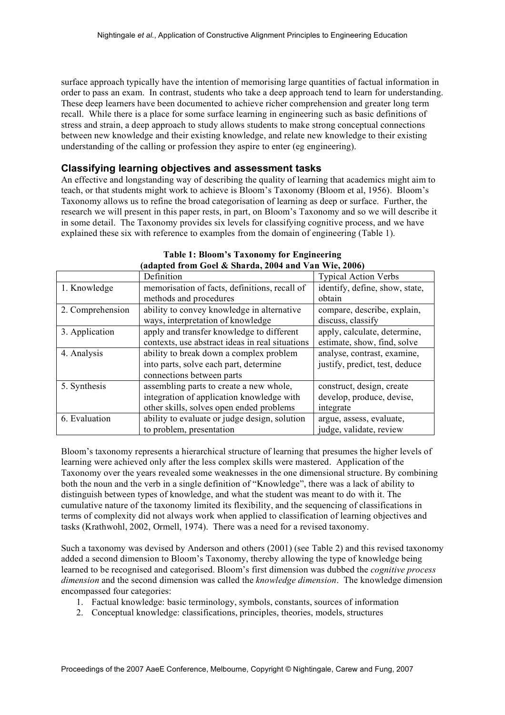surface approach typically have the intention of memorising large quantities of factual information in order to pass an exam. In contrast, students who take a deep approach tend to learn for understanding. These deep learners have been documented to achieve richer comprehension and greater long term recall. While there is a place for some surface learning in engineering such as basic definitions of stress and strain, a deep approach to study allows students to make strong conceptual connections between new knowledge and their existing knowledge, and relate new knowledge to their existing understanding of the calling or profession they aspire to enter (eg engineering).

#### **Classifying learning objectives and assessment tasks**

An effective and longstanding way of describing the quality of learning that academics might aim to teach, or that students might work to achieve is Bloom's Taxonomy (Bloom et al, 1956). Bloom's Taxonomy allows us to refine the broad categorisation of learning as deep or surface. Further, the research we will present in this paper rests, in part, on Bloom's Taxonomy and so we will describe it in some detail. The Taxonomy provides six levels for classifying cognitive process, and we have explained these six with reference to examples from the domain of engineering (Table 1).

| $\alpha$ and $\alpha$ is the contract of $\alpha$ is the contract of $\alpha$ in $\alpha$ is the $\alpha$ is the contract of $\alpha$ |                                                 |                                |  |  |  |
|---------------------------------------------------------------------------------------------------------------------------------------|-------------------------------------------------|--------------------------------|--|--|--|
|                                                                                                                                       | Definition                                      | <b>Typical Action Verbs</b>    |  |  |  |
| 1. Knowledge                                                                                                                          | memorisation of facts, definitions, recall of   | identify, define, show, state, |  |  |  |
|                                                                                                                                       | methods and procedures                          | obtain                         |  |  |  |
| 2. Comprehension                                                                                                                      | ability to convey knowledge in alternative      | compare, describe, explain,    |  |  |  |
|                                                                                                                                       | ways, interpretation of knowledge               | discuss, classify              |  |  |  |
| 3. Application                                                                                                                        | apply and transfer knowledge to different       | apply, calculate, determine,   |  |  |  |
|                                                                                                                                       | contexts, use abstract ideas in real situations | estimate, show, find, solve    |  |  |  |
| 4. Analysis                                                                                                                           | ability to break down a complex problem         | analyse, contrast, examine,    |  |  |  |
|                                                                                                                                       | into parts, solve each part, determine          | justify, predict, test, deduce |  |  |  |
|                                                                                                                                       | connections between parts                       |                                |  |  |  |
| 5. Synthesis                                                                                                                          | assembling parts to create a new whole,         | construct, design, create      |  |  |  |
|                                                                                                                                       | integration of application knowledge with       | develop, produce, devise,      |  |  |  |
|                                                                                                                                       | other skills, solves open ended problems        | integrate                      |  |  |  |
| 6. Evaluation                                                                                                                         | ability to evaluate or judge design, solution   | argue, assess, evaluate,       |  |  |  |
|                                                                                                                                       | to problem, presentation                        | judge, validate, review        |  |  |  |

**Table 1: Bloom's Taxonomy for Engineering (adapted from Goel & Sharda, 2004 and Van Wie, 2006)**

Bloom's taxonomy represents a hierarchical structure of learning that presumes the higher levels of learning were achieved only after the less complex skills were mastered. Application of the Taxonomy over the years revealed some weaknesses in the one dimensional structure. By combining both the noun and the verb in a single definition of "Knowledge", there was a lack of ability to distinguish between types of knowledge, and what the student was meant to do with it. The cumulative nature of the taxonomy limited its flexibility, and the sequencing of classifications in terms of complexity did not always work when applied to classification of learning objectives and tasks (Krathwohl, 2002, Ormell, 1974). There was a need for a revised taxonomy.

Such a taxonomy was devised by Anderson and others (2001) (see Table 2) and this revised taxonomy added a second dimension to Bloom's Taxonomy, thereby allowing the type of knowledge being learned to be recognised and categorised. Bloom's first dimension was dubbed the *cognitive process dimension* and the second dimension was called the *knowledge dimension*. The knowledge dimension encompassed four categories:

- 1. Factual knowledge: basic terminology, symbols, constants, sources of information
- 2. Conceptual knowledge: classifications, principles, theories, models, structures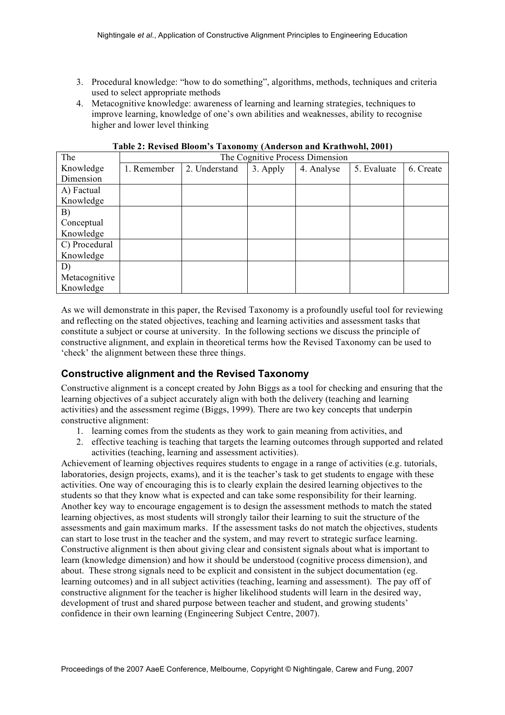- 3. Procedural knowledge: "how to do something", algorithms, methods, techniques and criteria used to select appropriate methods
- 4. Metacognitive knowledge: awareness of learning and learning strategies, techniques to improve learning, knowledge of one's own abilities and weaknesses, ability to recognise higher and lower level thinking

| The           | $\ddot{\phantom{1}}$<br>The Cognitive Process Dimension |               |          |            |             |           |  |
|---------------|---------------------------------------------------------|---------------|----------|------------|-------------|-----------|--|
| Knowledge     | 1. Remember                                             | 2. Understand | 3. Apply | 4. Analyse | 5. Evaluate | 6. Create |  |
| Dimension     |                                                         |               |          |            |             |           |  |
| A) Factual    |                                                         |               |          |            |             |           |  |
| Knowledge     |                                                         |               |          |            |             |           |  |
| B)            |                                                         |               |          |            |             |           |  |
| Conceptual    |                                                         |               |          |            |             |           |  |
| Knowledge     |                                                         |               |          |            |             |           |  |
| C) Procedural |                                                         |               |          |            |             |           |  |
| Knowledge     |                                                         |               |          |            |             |           |  |
| D)            |                                                         |               |          |            |             |           |  |
| Metacognitive |                                                         |               |          |            |             |           |  |
| Knowledge     |                                                         |               |          |            |             |           |  |

**Table 2: Revised Bloom's Taxonomy (Anderson and Krathwohl, 2001)**

As we will demonstrate in this paper, the Revised Taxonomy is a profoundly useful tool for reviewing and reflecting on the stated objectives, teaching and learning activities and assessment tasks that constitute a subject or course at university. In the following sections we discuss the principle of constructive alignment, and explain in theoretical terms how the Revised Taxonomy can be used to 'check' the alignment between these three things.

### **Constructive alignment and the Revised Taxonomy**

Constructive alignment is a concept created by John Biggs as a tool for checking and ensuring that the learning objectives of a subject accurately align with both the delivery (teaching and learning activities) and the assessment regime (Biggs, 1999). There are two key concepts that underpin constructive alignment:

- 1. learning comes from the students as they work to gain meaning from activities, and
- 2. effective teaching is teaching that targets the learning outcomes through supported and related activities (teaching, learning and assessment activities).

Achievement of learning objectives requires students to engage in a range of activities (e.g. tutorials, laboratories, design projects, exams), and it is the teacher's task to get students to engage with these activities. One way of encouraging this is to clearly explain the desired learning objectives to the students so that they know what is expected and can take some responsibility for their learning. Another key way to encourage engagement is to design the assessment methods to match the stated learning objectives, as most students will strongly tailor their learning to suit the structure of the assessments and gain maximum marks. If the assessment tasks do not match the objectives, students can start to lose trust in the teacher and the system, and may revert to strategic surface learning. Constructive alignment is then about giving clear and consistent signals about what is important to learn (knowledge dimension) and how it should be understood (cognitive process dimension), and about. These strong signals need to be explicit and consistent in the subject documentation (eg. learning outcomes) and in all subject activities (teaching, learning and assessment). The pay off of constructive alignment for the teacher is higher likelihood students will learn in the desired way, development of trust and shared purpose between teacher and student, and growing students' confidence in their own learning (Engineering Subject Centre, 2007).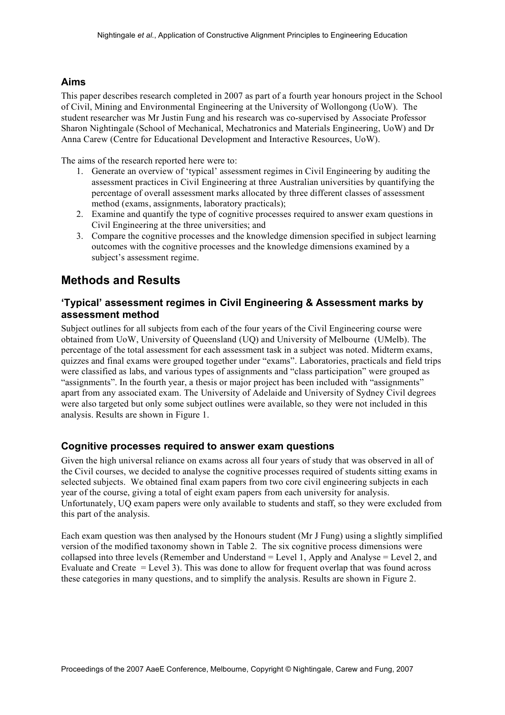### **Aims**

This paper describes research completed in 2007 as part of a fourth year honours project in the School of Civil, Mining and Environmental Engineering at the University of Wollongong (UoW). The student researcher was Mr Justin Fung and his research was co-supervised by Associate Professor Sharon Nightingale (School of Mechanical, Mechatronics and Materials Engineering, UoW) and Dr Anna Carew (Centre for Educational Development and Interactive Resources, UoW).

The aims of the research reported here were to:

- 1. Generate an overview of 'typical' assessment regimes in Civil Engineering by auditing the assessment practices in Civil Engineering at three Australian universities by quantifying the percentage of overall assessment marks allocated by three different classes of assessment method (exams, assignments, laboratory practicals);
- 2. Examine and quantify the type of cognitive processes required to answer exam questions in Civil Engineering at the three universities; and
- 3. Compare the cognitive processes and the knowledge dimension specified in subject learning outcomes with the cognitive processes and the knowledge dimensions examined by a subject's assessment regime.

### **Methods and Results**

### **'Typical' assessment regimes in Civil Engineering & Assessment marks by assessment method**

Subject outlines for all subjects from each of the four years of the Civil Engineering course were obtained from UoW, University of Queensland (UQ) and University of Melbourne (UMelb). The percentage of the total assessment for each assessment task in a subject was noted. Midterm exams, quizzes and final exams were grouped together under "exams". Laboratories, practicals and field trips were classified as labs, and various types of assignments and "class participation" were grouped as "assignments". In the fourth year, a thesis or major project has been included with "assignments" apart from any associated exam. The University of Adelaide and University of Sydney Civil degrees were also targeted but only some subject outlines were available, so they were not included in this analysis. Results are shown in Figure 1.

### **Cognitive processes required to answer exam questions**

Given the high universal reliance on exams across all four years of study that was observed in all of the Civil courses, we decided to analyse the cognitive processes required of students sitting exams in selected subjects. We obtained final exam papers from two core civil engineering subjects in each year of the course, giving a total of eight exam papers from each university for analysis. Unfortunately, UQ exam papers were only available to students and staff, so they were excluded from this part of the analysis.

Each exam question was then analysed by the Honours student (Mr J Fung) using a slightly simplified version of the modified taxonomy shown in Table 2. The six cognitive process dimensions were collapsed into three levels (Remember and Understand = Level 1, Apply and Analyse = Level 2, and Evaluate and Create = Level 3). This was done to allow for frequent overlap that was found across these categories in many questions, and to simplify the analysis. Results are shown in Figure 2.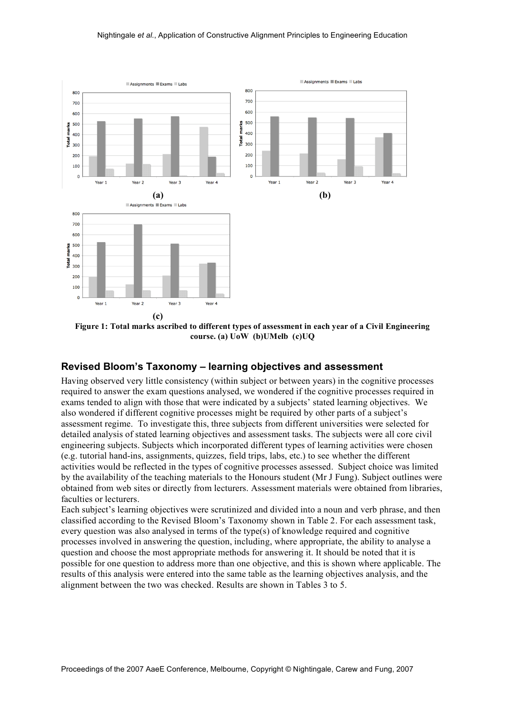

**Figure 1: Total marks ascribed to different types of assessment in each year of a Civil Engineering course. (a) UoW (b)UMelb (c)UQ**

### **Revised Bloom's Taxonomy – learning objectives and assessment**

Having observed very little consistency (within subject or between years) in the cognitive processes required to answer the exam questions analysed, we wondered if the cognitive processes required in exams tended to align with those that were indicated by a subjects' stated learning objectives. We also wondered if different cognitive processes might be required by other parts of a subject's assessment regime. To investigate this, three subjects from different universities were selected for detailed analysis of stated learning objectives and assessment tasks. The subjects were all core civil engineering subjects. Subjects which incorporated different types of learning activities were chosen (e.g. tutorial hand-ins, assignments, quizzes, field trips, labs, etc.) to see whether the different activities would be reflected in the types of cognitive processes assessed. Subject choice was limited by the availability of the teaching materials to the Honours student (Mr J Fung). Subject outlines were obtained from web sites or directly from lecturers. Assessment materials were obtained from libraries, faculties or lecturers.

Each subject's learning objectives were scrutinized and divided into a noun and verb phrase, and then classified according to the Revised Bloom's Taxonomy shown in Table 2. For each assessment task, every question was also analysed in terms of the type(s) of knowledge required and cognitive processes involved in answering the question, including, where appropriate, the ability to analyse a question and choose the most appropriate methods for answering it. It should be noted that it is possible for one question to address more than one objective, and this is shown where applicable. The results of this analysis were entered into the same table as the learning objectives analysis, and the alignment between the two was checked. Results are shown in Tables 3 to 5.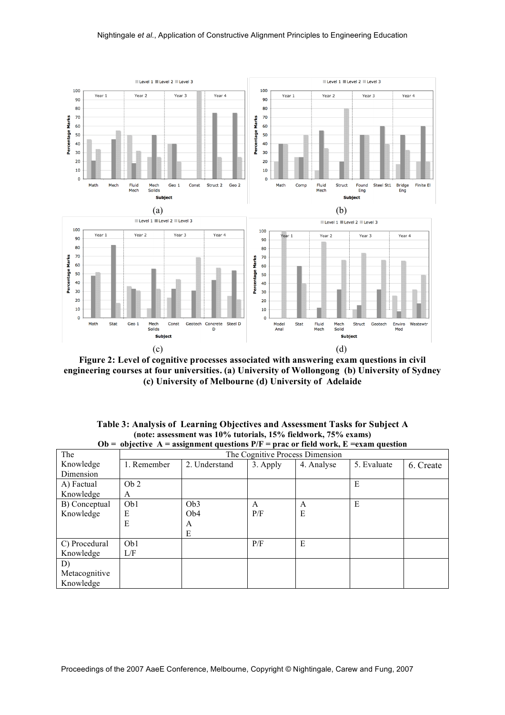

**Figure 2: Level of cognitive processes associated with answering exam questions in civil engineering courses at four universities. (a) University of Wollongong (b) University of Sydney (c) University of Melbourne (d) University of Adelaide**

| Table 3: Analysis of Learning Objectives and Assessment Tasks for Subject A           |
|---------------------------------------------------------------------------------------|
| (note: assessment was 10% tutorials, 15% fieldwork, 75% exams)                        |
| Ob = objective A = assignment questions $P/F$ = prac or field work, E = exam question |

| vv            |                                 | $\sigma$        |          | $\mu$ at $\sigma$ in the norm, $\mu$ | елаш числин |           |
|---------------|---------------------------------|-----------------|----------|--------------------------------------|-------------|-----------|
| The           | The Cognitive Process Dimension |                 |          |                                      |             |           |
| Knowledge     | 1. Remember                     | 2. Understand   | 3. Apply | 4. Analyse                           | 5. Evaluate | 6. Create |
| Dimension     |                                 |                 |          |                                      |             |           |
| A) Factual    | Ob 2                            |                 |          |                                      | E           |           |
| Knowledge     | A                               |                 |          |                                      |             |           |
| B) Conceptual | Ob1                             | Ob <sub>3</sub> | A        | A                                    | E           |           |
| Knowledge     | E                               | Ob <sub>4</sub> | P/F      | E                                    |             |           |
|               | E                               | A               |          |                                      |             |           |
|               |                                 | E               |          |                                      |             |           |
| C) Procedural | Ob1                             |                 | P/F      | E                                    |             |           |
| Knowledge     | L/F                             |                 |          |                                      |             |           |
| D)            |                                 |                 |          |                                      |             |           |
| Metacognitive |                                 |                 |          |                                      |             |           |
| Knowledge     |                                 |                 |          |                                      |             |           |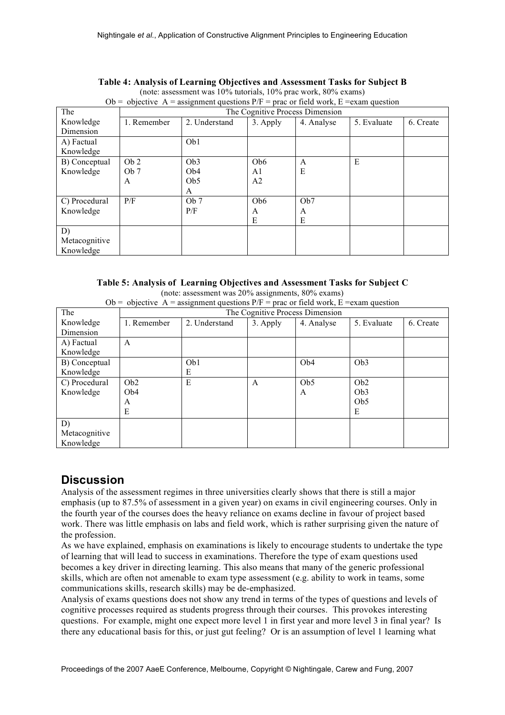| Ob = objective A = assignment questions $P/F =$ prac or field work, E = exam question |                 |                 |                 |                                 |             |           |
|---------------------------------------------------------------------------------------|-----------------|-----------------|-----------------|---------------------------------|-------------|-----------|
| The                                                                                   |                 |                 |                 | The Cognitive Process Dimension |             |           |
| Knowledge                                                                             | 1. Remember     | 2. Understand   | 3. Apply        | 4. Analyse                      | 5. Evaluate | 6. Create |
| Dimension                                                                             |                 |                 |                 |                                 |             |           |
| A) Factual                                                                            |                 | Ob1             |                 |                                 |             |           |
| Knowledge                                                                             |                 |                 |                 |                                 |             |           |
| B) Conceptual                                                                         | Ob 2            | Ob <sub>3</sub> | Ob <sub>6</sub> | A                               | E           |           |
| Knowledge                                                                             | Ob <sub>7</sub> | Ob <sub>4</sub> | A1              | E                               |             |           |
|                                                                                       | A               | Ob <sub>5</sub> | A <sub>2</sub>  |                                 |             |           |
|                                                                                       |                 | A               |                 |                                 |             |           |
| C) Procedural                                                                         | P/F             | Ob 7            | Ob <sub>6</sub> | Ob7                             |             |           |
| Knowledge                                                                             |                 | P/F             | A               | A                               |             |           |
|                                                                                       |                 |                 | E               | E                               |             |           |
| D)                                                                                    |                 |                 |                 |                                 |             |           |
| Metacognitive                                                                         |                 |                 |                 |                                 |             |           |
| Knowledge                                                                             |                 |                 |                 |                                 |             |           |

### **Table 4: Analysis of Learning Objectives and Assessment Tasks for Subject B**

(note: assessment was 10% tutorials, 10% prac work, 80% exams)

**Table 5: Analysis of Learning Objectives and Assessment Tasks for Subject C**

(note: assessment was 20% assignments, 80% exams)

|--|

| The           | The Cognitive Process Dimension |               |          |                  |                 |           |
|---------------|---------------------------------|---------------|----------|------------------|-----------------|-----------|
| Knowledge     | 1. Remember                     | 2. Understand | 3. Apply | 4. Analyse       | 5. Evaluate     | 6. Create |
| Dimension     |                                 |               |          |                  |                 |           |
| A) Factual    | A                               |               |          |                  |                 |           |
| Knowledge     |                                 |               |          |                  |                 |           |
| B) Conceptual |                                 | Ob1           |          | O <sub>b</sub> 4 | Ob <sub>3</sub> |           |
| Knowledge     |                                 | E             |          |                  |                 |           |
| C) Procedural | Ob <sub>2</sub>                 | E             | A        | Ob <sub>5</sub>  | Ob <sub>2</sub> |           |
| Knowledge     | Ob <sub>4</sub>                 |               |          | A                | Ob <sub>3</sub> |           |
|               | A                               |               |          |                  | Ob <sub>5</sub> |           |
|               | E                               |               |          |                  | E               |           |
| D)            |                                 |               |          |                  |                 |           |
| Metacognitive |                                 |               |          |                  |                 |           |
| Knowledge     |                                 |               |          |                  |                 |           |

# **Discussion**

Analysis of the assessment regimes in three universities clearly shows that there is still a major emphasis (up to 87.5% of assessment in a given year) on exams in civil engineering courses. Only in the fourth year of the courses does the heavy reliance on exams decline in favour of project based work. There was little emphasis on labs and field work, which is rather surprising given the nature of the profession.

As we have explained, emphasis on examinations is likely to encourage students to undertake the type of learning that will lead to success in examinations. Therefore the type of exam questions used becomes a key driver in directing learning. This also means that many of the generic professional skills, which are often not amenable to exam type assessment (e.g. ability to work in teams, some communications skills, research skills) may be de-emphasized.

Analysis of exams questions does not show any trend in terms of the types of questions and levels of cognitive processes required as students progress through their courses. This provokes interesting questions. For example, might one expect more level 1 in first year and more level 3 in final year? Is there any educational basis for this, or just gut feeling? Or is an assumption of level 1 learning what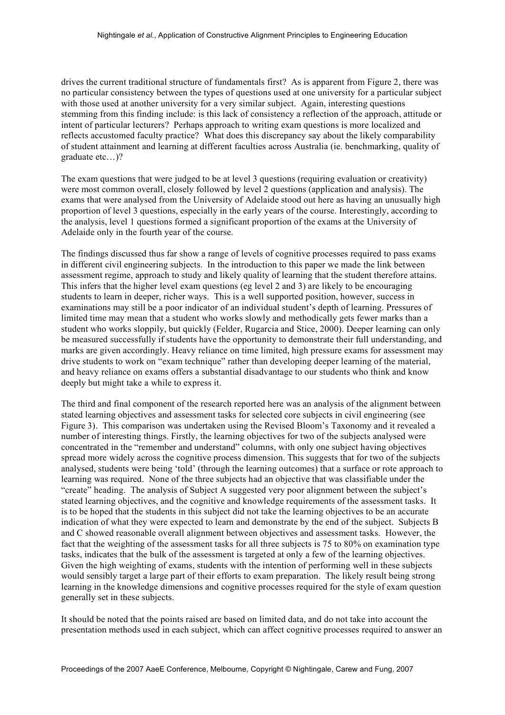drives the current traditional structure of fundamentals first? As is apparent from Figure 2, there was no particular consistency between the types of questions used at one university for a particular subject with those used at another university for a very similar subject. Again, interesting questions stemming from this finding include: is this lack of consistency a reflection of the approach, attitude or intent of particular lecturers? Perhaps approach to writing exam questions is more localized and reflects accustomed faculty practice? What does this discrepancy say about the likely comparability of student attainment and learning at different faculties across Australia (ie. benchmarking, quality of graduate etc…)?

The exam questions that were judged to be at level 3 questions (requiring evaluation or creativity) were most common overall, closely followed by level 2 questions (application and analysis). The exams that were analysed from the University of Adelaide stood out here as having an unusually high proportion of level 3 questions, especially in the early years of the course. Interestingly, according to the analysis, level 1 questions formed a significant proportion of the exams at the University of Adelaide only in the fourth year of the course.

The findings discussed thus far show a range of levels of cognitive processes required to pass exams in different civil engineering subjects. In the introduction to this paper we made the link between assessment regime, approach to study and likely quality of learning that the student therefore attains. This infers that the higher level exam questions (eg level 2 and 3) are likely to be encouraging students to learn in deeper, richer ways. This is a well supported position, however, success in examinations may still be a poor indicator of an individual student's depth of learning. Pressures of limited time may mean that a student who works slowly and methodically gets fewer marks than a student who works sloppily, but quickly (Felder, Rugarcia and Stice, 2000). Deeper learning can only be measured successfully if students have the opportunity to demonstrate their full understanding, and marks are given accordingly. Heavy reliance on time limited, high pressure exams for assessment may drive students to work on "exam technique" rather than developing deeper learning of the material, and heavy reliance on exams offers a substantial disadvantage to our students who think and know deeply but might take a while to express it.

The third and final component of the research reported here was an analysis of the alignment between stated learning objectives and assessment tasks for selected core subjects in civil engineering (see Figure 3). This comparison was undertaken using the Revised Bloom's Taxonomy and it revealed a number of interesting things. Firstly, the learning objectives for two of the subjects analysed were concentrated in the "remember and understand" columns, with only one subject having objectives spread more widely across the cognitive process dimension. This suggests that for two of the subjects analysed, students were being 'told' (through the learning outcomes) that a surface or rote approach to learning was required. None of the three subjects had an objective that was classifiable under the "create" heading. The analysis of Subject A suggested very poor alignment between the subject's stated learning objectives, and the cognitive and knowledge requirements of the assessment tasks. It is to be hoped that the students in this subject did not take the learning objectives to be an accurate indication of what they were expected to learn and demonstrate by the end of the subject. Subjects B and C showed reasonable overall alignment between objectives and assessment tasks. However, the fact that the weighting of the assessment tasks for all three subjects is 75 to 80% on examination type tasks, indicates that the bulk of the assessment is targeted at only a few of the learning objectives. Given the high weighting of exams, students with the intention of performing well in these subjects would sensibly target a large part of their efforts to exam preparation. The likely result being strong learning in the knowledge dimensions and cognitive processes required for the style of exam question generally set in these subjects.

It should be noted that the points raised are based on limited data, and do not take into account the presentation methods used in each subject, which can affect cognitive processes required to answer an